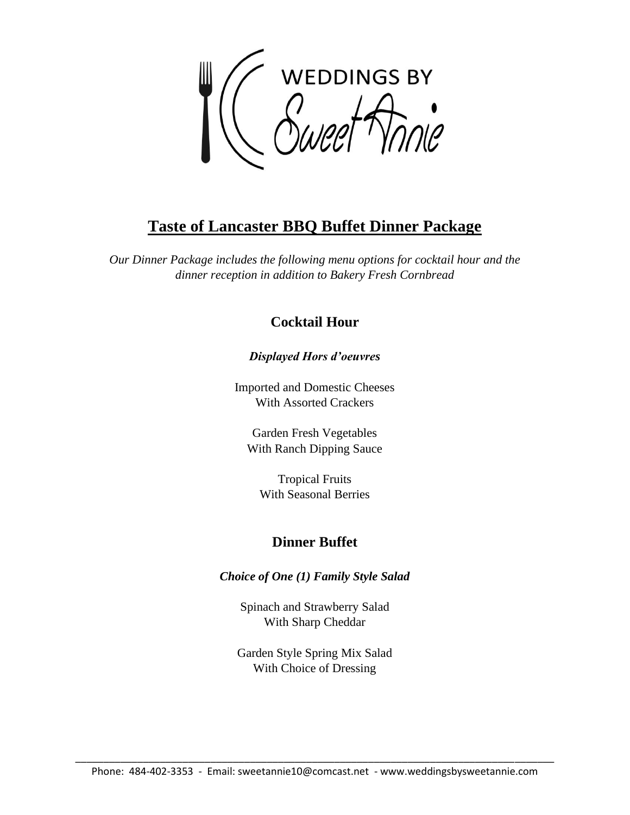

# **Taste of Lancaster BBQ Buffet Dinner Package**

*Our Dinner Package includes the following menu options for cocktail hour and the dinner reception in addition to Bakery Fresh Cornbread*

## **Cocktail Hour**

## *Displayed Hors d'oeuvres*

Imported and Domestic Cheeses With Assorted Crackers

Garden Fresh Vegetables With Ranch Dipping Sauce

Tropical Fruits With Seasonal Berries

## **Dinner Buffet**

*Choice of One (1) Family Style Salad*

Spinach and Strawberry Salad With Sharp Cheddar

Garden Style Spring Mix Salad With Choice of Dressing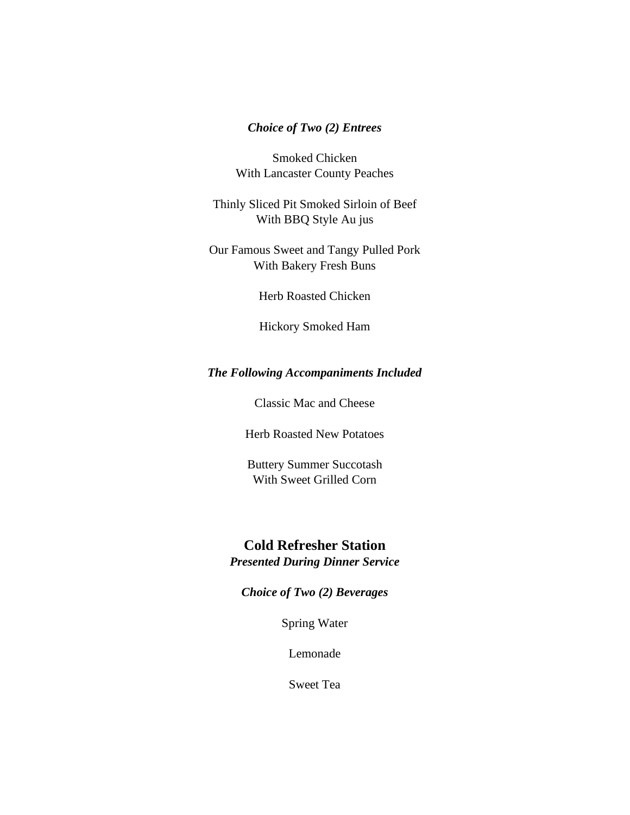### *Choice of Two (2) Entrees*

Smoked Chicken With Lancaster County Peaches

Thinly Sliced Pit Smoked Sirloin of Beef With BBQ Style Au jus

Our Famous Sweet and Tangy Pulled Pork With Bakery Fresh Buns

Herb Roasted Chicken

Hickory Smoked Ham

#### *The Following Accompaniments Included*

Classic Mac and Cheese

Herb Roasted New Potatoes

Buttery Summer Succotash With Sweet Grilled Corn

# **Cold Refresher Station**

*Presented During Dinner Service*

*Choice of Two (2) Beverages*

Spring Water

Lemonade

Sweet Tea